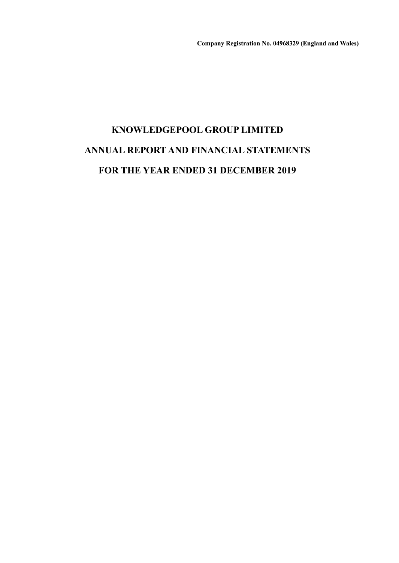# **KNOWLEDGEPOOL GROUP LIMITED ANNUAL REPORT AND FINANCIAL STATEMENTS FOR THE YEAR ENDED 31 DECEMBER 2019**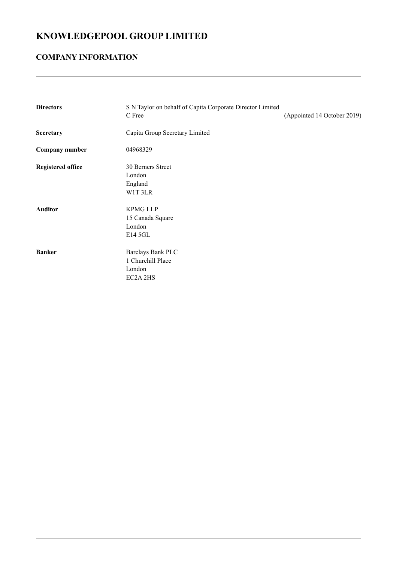### **COMPANY INFORMATION**

| <b>Directors</b>         | S N Taylor on behalf of Capita Corporate Director Limited<br>C Free | (Appointed 14 October 2019) |
|--------------------------|---------------------------------------------------------------------|-----------------------------|
| Secretary                | Capita Group Secretary Limited                                      |                             |
| Company number           | 04968329                                                            |                             |
| <b>Registered office</b> | 30 Berners Street<br>London<br>England<br>W1T3LR                    |                             |
| <b>Auditor</b>           | <b>KPMG LLP</b><br>15 Canada Square<br>London<br>E14 5GL            |                             |
| <b>Banker</b>            | Barclays Bank PLC<br>1 Churchill Place<br>London<br>EC2A 2HS        |                             |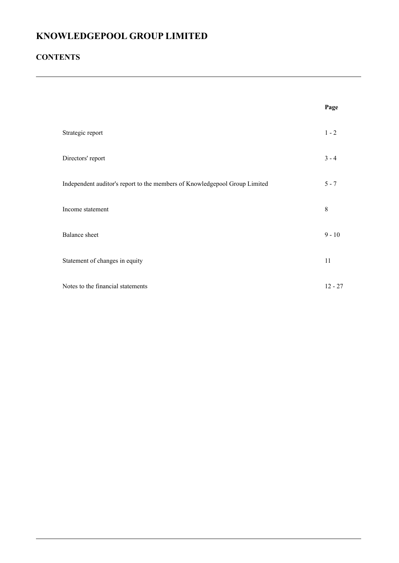## **CONTENTS**

|                                                                            | Page      |
|----------------------------------------------------------------------------|-----------|
| Strategic report                                                           | $1 - 2$   |
| Directors' report                                                          | $3 - 4$   |
| Independent auditor's report to the members of Knowledgepool Group Limited | $5 - 7$   |
| Income statement                                                           | 8         |
| <b>Balance</b> sheet                                                       | $9 - 10$  |
| Statement of changes in equity                                             | 11        |
| Notes to the financial statements                                          | $12 - 27$ |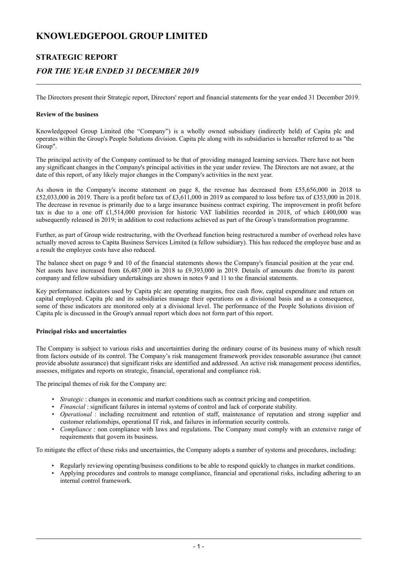## **STRATEGIC REPORT** *FOR THE YEAR ENDED 31 DECEMBER 2019*

The Directors present their Strategic report, Directors' report and financial statements for the year ended 31 December 2019.

#### **Review of the business**

Knowledgepool Group Limited (the "Company") is a wholly owned subsidiary (indirectly held) of Capita plc and operates within the Group's People Solutions division. Capita plc along with its subsidiaries is hereafter referred to as "the Group".

The principal activity of the Company continued to be that of providing managed learning services. There have not been any significant changes in the Company's principal activities in the year under review. The Directors are not aware, at the date of this report, of any likely major changes in the Company's activities in the next year.

As shown in the Company's income statement on page 8, the revenue has decreased from £55,656,000 in 2018 to £52,033,000 in 2019. There is a profit before tax of £3,611,000 in 2019 as compared to loss before tax of £353,000 in 2018. The decrease in revenue is primarily due to a large insurance business contract expiring. The improvement in profit before tax is due to a one off £1,514,000 provision for historic VAT liabilities recorded in 2018, of which £400,000 was subsequently released in 2019; in addition to cost reductions achieved as part of the Group's transformation programme.

Further, as part of Group wide restructuring, with the Overhead function being restructured a number of overhead roles have actually moved across to Capita Business Services Limited (a fellow subsidiary). This has reduced the employee base and as a result the employee costs have also reduced.

The balance sheet on page 9 and 10 of the financial statements shows the Company's financial position at the year end. Net assets have increased from £6,487,000 in 2018 to £9,393,000 in 2019. Details of amounts due from/to its parent company and fellow subsidiary undertakings are shown in notes 9 and 11 to the financial statements.

Key performance indicators used by Capita plc are operating margins, free cash flow, capital expenditure and return on capital employed. Capita plc and its subsidiaries manage their operations on a divisional basis and as a consequence, some of these indicators are monitored only at a divisional level. The performance of the People Solutions division of Capita plc is discussed in the Group's annual report which does not form part of this report.

#### **Principal risks and uncertainties**

The Company is subject to various risks and uncertainties during the ordinary course of its business many of which result from factors outside of its control. The Company's risk management framework provides reasonable assurance (but cannot provide absolute assurance) that significant risks are identified and addressed. An active risk management process identifies, assesses, mitigates and reports on strategic, financial, operational and compliance risk.

The principal themes of risk for the Company are:

- *Strategic*: changes in economic and market conditions such as contract pricing and competition.
- *• Financial* : significant failures in internal systems of control and lack of corporate stability.
- *• Operational* : including recruitment and retention of staff, maintenance of reputation and strong supplier and customer relationships, operational IT risk, and failures in information security controls.
- *• Compliance* : non compliance with laws and regulations. The Company must comply with an extensive range of requirements that govern its business.

To mitigate the effect of these risks and uncertainties, the Company adopts a number of systems and procedures, including:

- Regularly reviewing operating/business conditions to be able to respond quickly to changes in market conditions.
- Applying procedures and controls to manage compliance, financial and operational risks, including adhering to an internal control framework.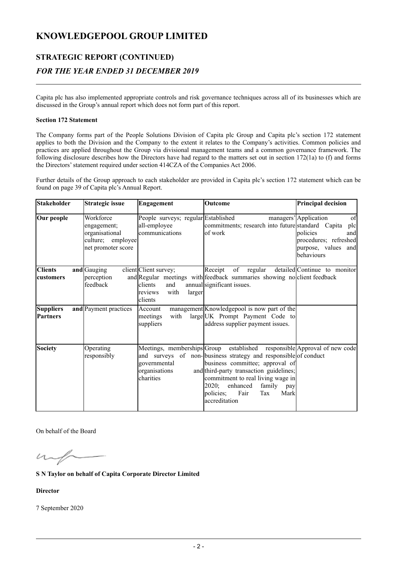# **STRATEGIC REPORT (CONTINUED)**

### *FOR THE YEAR ENDED 31 DECEMBER 2019*

Capita plc has also implemented appropriate controls and risk governance techniques across all of its businesses which are discussed in the Group's annual report which does not form part of this report.

#### **Section 172 Statement**

The Company forms part of the People Solutions Division of Capita plc Group and Capita plc's section 172 statement applies to both the Division and the Company to the extent it relates to the Company's activities. Common policies and practices are applied throughout the Group via divisional management teams and a common governance framework. The following disclosure describes how the Directors have had regard to the matters set out in section 172(1a) to (f) and forms the Directors' statement required under section 414CZA of the Companies Act 2006.

Further details of the Group approach to each stakeholder are provided in Capita plc's section 172 statement which can be found on page 39 of Capita plc's Annual Report.

| Stakeholder                         | <b>Strategic issue</b>                                                                | <b>Engagement</b>                                                     | <b>Outcome</b>                                                                                                                                                                                                                                                                                                                                            | <b>Principal decision</b>                                                                                           |
|-------------------------------------|---------------------------------------------------------------------------------------|-----------------------------------------------------------------------|-----------------------------------------------------------------------------------------------------------------------------------------------------------------------------------------------------------------------------------------------------------------------------------------------------------------------------------------------------------|---------------------------------------------------------------------------------------------------------------------|
| Our people                          | Workforce<br>engagement;<br>organisational<br>culture; employee<br>net promoter score | People surveys; regular Established<br>all-employee<br>communications | commitments; research into future standard Capita<br>of work                                                                                                                                                                                                                                                                                              | managers' Application<br>of<br>plc<br>policies<br>and<br>procedures; refreshed<br>purpose, values and<br>behaviours |
| <b>Clients</b>                      | and Gauging                                                                           | client Client survey;                                                 | of<br>Receipt<br>regular                                                                                                                                                                                                                                                                                                                                  | detailed Continue to monitor                                                                                        |
| lcustomers                          | perception<br>feedback                                                                | clients<br>and<br>with<br>larger<br>reviews<br>clients                | and Regular meetings with feedback summaries showing no client feedback<br>annual significant issues.                                                                                                                                                                                                                                                     |                                                                                                                     |
| <b>Suppliers</b><br><b>Partners</b> | and Payment practices                                                                 | Account<br>meetings<br>with<br>suppliers                              | management Knowledgepool is now part of the<br>large UK Prompt Payment Code to<br>address supplier payment issues.                                                                                                                                                                                                                                        |                                                                                                                     |
| <b>Society</b>                      | Operating<br>responsibly                                                              | governmental<br>organisations<br>charities                            | Meetings, memberships Group established responsible Approval of new code<br>and surveys of non-business strategy and responsible of conduct<br>business committee; approval of<br>and third-party transaction guidelines;<br>commitment to real living wage in<br>2020;<br>enhanced<br>family<br>pay<br>Fair<br>Mark<br>policies;<br>Tax<br>accreditation |                                                                                                                     |

On behalf of the Board

V  $n$ 

#### **S N Taylor on behalf of Capita Corporate Director Limited**

**Director** 

7 September 2020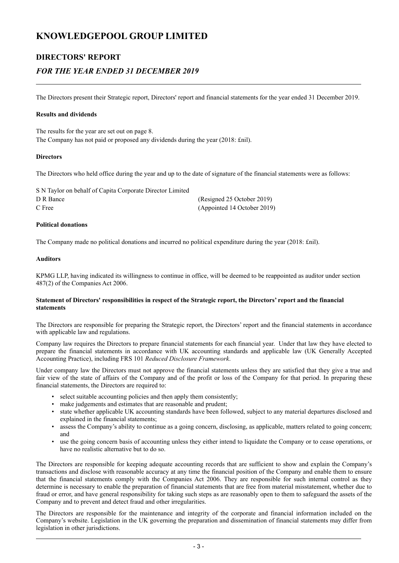### **DIRECTORS' REPORT** *FOR THE YEAR ENDED 31 DECEMBER 2019*

The Directors present their Strategic report, Directors' report and financial statements for the year ended 31 December 2019.

#### **Results and dividends**

The results for the year are set out on page 8. The Company has not paid or proposed any dividends during the year (2018: £nil).

#### **Directors**

The Directors who held office during the year and up to the date of signature of the financial statements were as follows:

| S N Taylor on behalf of Capita Corporate Director Limited |                             |
|-----------------------------------------------------------|-----------------------------|
| D R Bance                                                 | (Resigned 25 October 2019)  |
| C Free                                                    | (Appointed 14 October 2019) |

#### **Political donations**

The Company made no political donations and incurred no political expenditure during the year (2018: £nil).

#### **Auditors**

KPMG LLP, having indicated its willingness to continue in office, will be deemed to be reappointed as auditor under section 487(2) of the Companies Act 2006.

#### Statement of Directors' responsibilities in respect of the Strategic report, the Directors' report and the financial **statements**

The Directors are responsible for preparing the Strategic report, the Directors' report and the financial statements in accordance with applicable law and regulations.

Company law requires the Directors to prepare financial statements for each financial year. Under that law they have elected to prepare the financial statements in accordance with UK accounting standards and applicable law (UK Generally Accepted Accounting Practice), including FRS 101 *Reduced Disclosure Framework*.

Under company law the Directors must not approve the financial statements unless they are satisfied that they give a true and fair view of the state of affairs of the Company and of the profit or loss of the Company for that period. In preparing these financial statements, the Directors are required to:

- select suitable accounting policies and then apply them consistently;
- make judgements and estimates that are reasonable and prudent;
- state whether applicable UK accounting standards have been followed, subject to any material departures disclosed and explained in the financial statements;
- assess the Company's ability to continue as a going concern, disclosing, as applicable, matters related to going concern; and
- use the going concern basis of accounting unless they either intend to liquidate the Company or to cease operations, or have no realistic alternative but to do so.

The Directors are responsible for keeping adequate accounting records that are sufficient to show and explain the Company's transactions and disclose with reasonable accuracy at any time the financial position of the Company and enable them to ensure that the financial statements comply with the Companies Act 2006. They are responsible for such internal control as they determine is necessary to enable the preparation of financial statements that are free from material misstatement, whether due to fraud or error, and have general responsibility for taking such steps as are reasonably open to them to safeguard the assets of the Company and to prevent and detect fraud and other irregularities.

The Directors are responsible for the maintenance and integrity of the corporate and financial information included on the Company's website. Legislation in the UK governing the preparation and dissemination of financial statements may differ from legislation in other jurisdictions.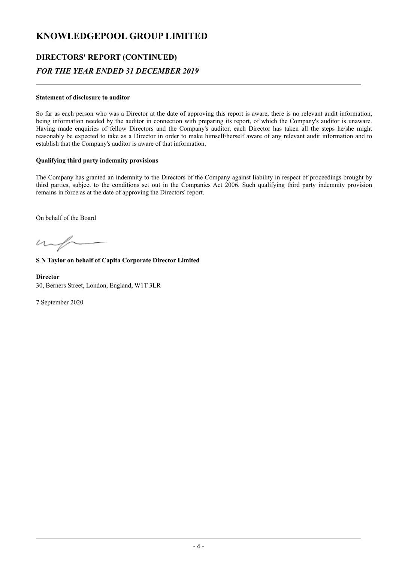## **DIRECTORS' REPORT (CONTINUED)**  *FOR THE YEAR ENDED 31 DECEMBER 2019*

#### **Statement of disclosure to auditor**

So far as each person who was a Director at the date of approving this report is aware, there is no relevant audit information, being information needed by the auditor in connection with preparing its report, of which the Company's auditor is unaware. Having made enquiries of fellow Directors and the Company's auditor, each Director has taken all the steps he/she might reasonably be expected to take as a Director in order to make himself/herself aware of any relevant audit information and to establish that the Company's auditor is aware of that information.

#### **Qualifying third party indemnity provisions**

The Company has granted an indemnity to the Directors of the Company against liability in respect of proceedings brought by third parties, subject to the conditions set out in the Companies Act 2006. Such qualifying third party indemnity provision remains in force as at the date of approving the Directors' report.

On behalf of the Board

 $m_{\tau}$ 

#### **S N Taylor on behalf of Capita Corporate Director Limited**

**Director**  30, Berners Street, London, England, W1T 3LR

7 September 2020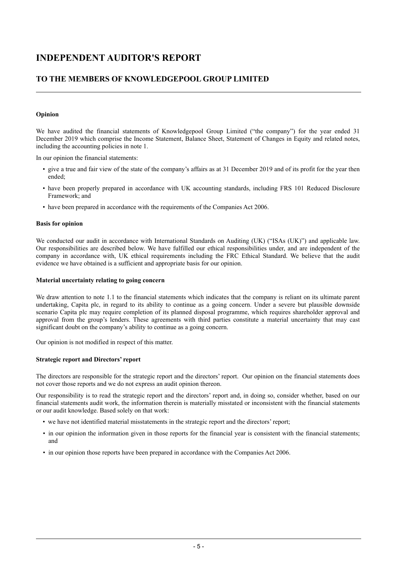## **INDEPENDENT AUDITOR'S REPORT**

### **TO THE MEMBERS OF KNOWLEDGEPOOL GROUP LIMITED**

#### **Opinion**

We have audited the financial statements of Knowledgepool Group Limited ("the company") for the year ended 31 December 2019 which comprise the Income Statement, Balance Sheet, Statement of Changes in Equity and related notes, including the accounting policies in note 1.

In our opinion the financial statements:

- give a true and fair view of the state of the company's affairs as at 31 December 2019 and of its profit for the year then ended;
- have been properly prepared in accordance with UK accounting standards, including FRS 101 Reduced Disclosure Framework; and
- have been prepared in accordance with the requirements of the Companies Act 2006.

#### **Basis for opinion**

We conducted our audit in accordance with International Standards on Auditing (UK) ("ISAs (UK)") and applicable law. Our responsibilities are described below. We have fulfilled our ethical responsibilities under, and are independent of the company in accordance with, UK ethical requirements including the FRC Ethical Standard. We believe that the audit evidence we have obtained is a sufficient and appropriate basis for our opinion.

#### **Material uncertainty relating to going concern**

We draw attention to note 1.1 to the financial statements which indicates that the company is reliant on its ultimate parent undertaking, Capita plc, in regard to its ability to continue as a going concern. Under a severe but plausible downside scenario Capita plc may require completion of its planned disposal programme, which requires shareholder approval and approval from the group's lenders. These agreements with third parties constitute a material uncertainty that may cast significant doubt on the company's ability to continue as a going concern.

Our opinion is not modified in respect of this matter.

#### **Strategic report and Directors' report**

The directors are responsible for the strategic report and the directors' report. Our opinion on the financial statements does not cover those reports and we do not express an audit opinion thereon.

Our responsibility is to read the strategic report and the directors' report and, in doing so, consider whether, based on our financial statements audit work, the information therein is materially misstated or inconsistent with the financial statements or our audit knowledge. Based solely on that work:

- we have not identified material misstatements in the strategic report and the directors' report;
- in our opinion the information given in those reports for the financial year is consistent with the financial statements; and
- in our opinion those reports have been prepared in accordance with the Companies Act 2006.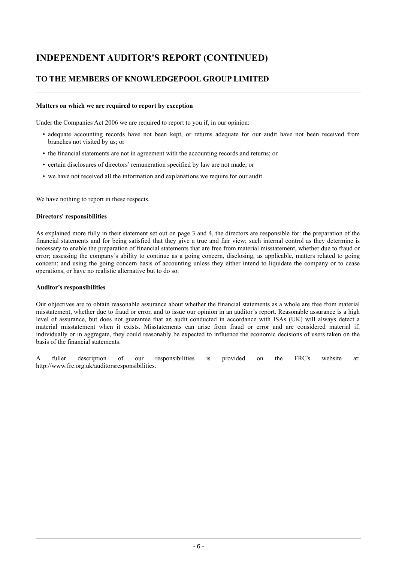## **INDEPENDENT AUDITOR'S REPORT (CONTINUED)**

### **TO THE MEMBERS OF KNOWLEDGEPOOL GROUP LIMITED**

#### **Matters on which we are required to report by exception**

Under the Companies Act 2006 we are required to report to you if, in our opinion:

- adequate accounting records have not been kept, or returns adequate for our audit have not been received from branches not visited by us; or
- the financial statements are not in agreement with the accounting records and returns; or
- certain disclosures of directors' remuneration specified by law are not made; or
- we have not received all the information and explanations we require for our audit.

We have nothing to report in these respects.

#### **Directors' responsibilities**

As explained more fully in their statement set out on page 3 and 4, the directors are responsible for: the preparation of the financial statements and for being satisfied that they give a true and fair view; such internal control as they determine is necessary to enable the preparation of financial statements that are free from material misstatement, whether due to fraud or error; assessing the company's ability to continue as a going concern, disclosing, as applicable, matters related to going concern; and using the going concern basis of accounting unless they either intend to liquidate the company or to cease operations, or have no realistic alternative but to do so.

#### **Auditor's responsibilities**

Our objectives are to obtain reasonable assurance about whether the financial statements as a whole are free from material misstatement, whether due to fraud or error, and to issue our opinion in an auditor's report. Reasonable assurance is a high level of assurance, but does not guarantee that an audit conducted in accordance with ISAs (UK) will always detect a material misstatement when it exists. Misstatements can arise from fraud or error and are considered material if, individually or in aggregate, they could reasonably be expected to influence the economic decisions of users taken on the basis of the financial statements.

A fuller description of our responsibilities is provided on the FRC's website at: http://www.frc.org.uk/auditorsresponsibilities.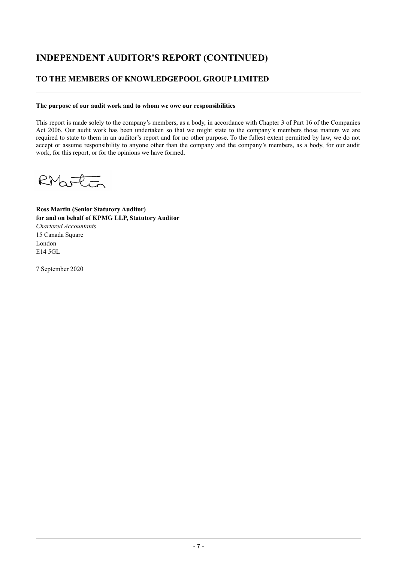## **INDEPENDENT AUDITOR'S REPORT (CONTINUED)**

### **TO THE MEMBERS OF KNOWLEDGEPOOL GROUP LIMITED**

#### **The purpose of our audit work and to whom we owe our responsibilities**

This report is made solely to the company's members, as a body, in accordance with Chapter 3 of Part 16 of the Companies Act 2006. Our audit work has been undertaken so that we might state to the company's members those matters we are required to state to them in an auditor's report and for no other purpose. To the fullest extent permitted by law, we do not accept or assume responsibility to anyone other than the company and the company's members, as a body, for our audit work, for this report, or for the opinions we have formed.

 $RM =$ 

**Ross Martin (Senior Statutory Auditor) for and on behalf of KPMG LLP, Statutory Auditor** *Chartered Accountants*  15 Canada Square London E14 5GL

7 September 2020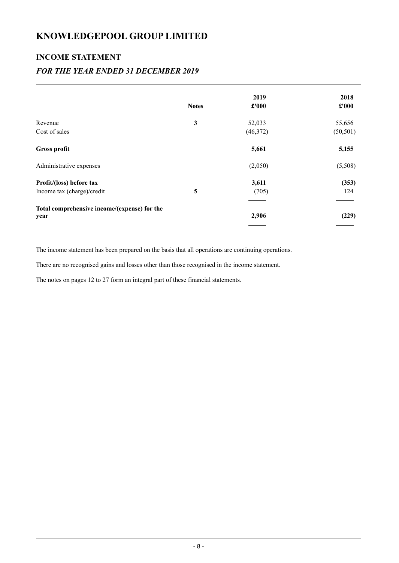### **INCOME STATEMENT**

### *FOR THE YEAR ENDED 31 DECEMBER 2019*

|                                              |              | 2019     | 2018      |
|----------------------------------------------|--------------|----------|-----------|
|                                              | <b>Notes</b> | £'000    | £'000     |
| Revenue                                      | 3            | 52,033   | 55,656    |
| Cost of sales                                |              | (46,372) | (50, 501) |
| <b>Gross profit</b>                          |              | 5,661    | 5,155     |
| Administrative expenses                      |              | (2,050)  | (5,508)   |
| Profit/(loss) before tax                     |              | 3,611    | (353)     |
| Income tax (charge)/credit                   | 5            | (705)    | 124       |
| Total comprehensive income/(expense) for the |              |          |           |
| year                                         |              | 2,906    | (229)     |
|                                              |              |          |           |

The income statement has been prepared on the basis that all operations are continuing operations.

There are no recognised gains and losses other than those recognised in the income statement.

The notes on pages 12 to 27 form an integral part of these financial statements.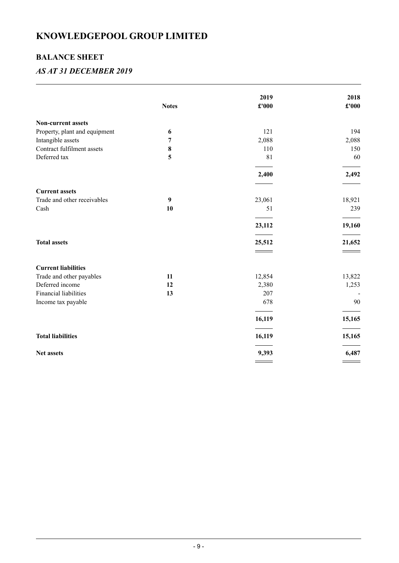### **BALANCE SHEET**

### *AS AT 31 DECEMBER 2019*

|                               | <b>Notes</b> | 2019<br>£'000 | 2018<br>$\pounds 000$ |
|-------------------------------|--------------|---------------|-----------------------|
|                               |              |               |                       |
| <b>Non-current assets</b>     |              |               |                       |
| Property, plant and equipment | 6            | 121           | 194                   |
| Intangible assets             | 7            | 2,088         | 2,088                 |
| Contract fulfilment assets    | $\bf 8$      | 110           | 150                   |
| Deferred tax                  | 5            | 81            | 60                    |
|                               |              | 2,400         | 2,492                 |
| <b>Current assets</b>         |              |               |                       |
| Trade and other receivables   | 9            | 23,061        | 18,921                |
| Cash                          | 10           | 51            | 239                   |
|                               |              |               |                       |
|                               |              | 23,112        | 19,160                |
| <b>Total assets</b>           |              | 25,512        | 21,652                |
|                               |              |               |                       |
| <b>Current liabilities</b>    |              |               |                       |
| Trade and other payables      | 11           | 12,854        | 13,822                |
| Deferred income               | 12           | 2,380         | 1,253                 |
| Financial liabilities         | 13           | 207           |                       |
| Income tax payable            |              | 678           | 90                    |
|                               |              | 16,119        | 15,165                |
|                               |              |               |                       |
| <b>Total liabilities</b>      |              | 16,119        | 15,165                |
| Net assets                    |              | 9,393         | 6,487                 |
|                               |              |               |                       |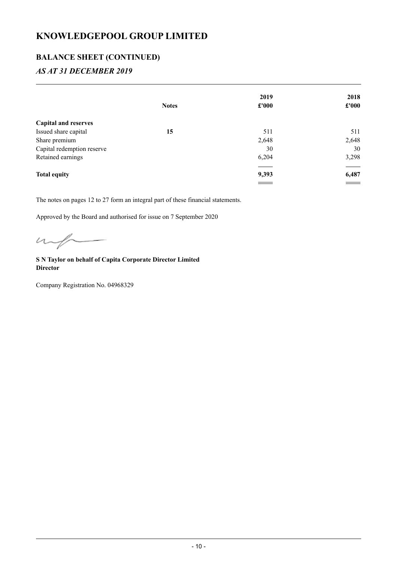## **BALANCE SHEET (CONTINUED)**

### *AS AT 31 DECEMBER 2019*

|                             | <b>Notes</b> | 2019<br>£'000 | 2018<br>£'000      |
|-----------------------------|--------------|---------------|--------------------|
| <b>Capital and reserves</b> |              |               |                    |
| Issued share capital        | 15           | 511           | 511                |
| Share premium               |              | 2,648         | 2,648              |
| Capital redemption reserve  |              | 30            | 30                 |
| Retained earnings           |              | 6,204         | 3,298              |
|                             |              | <b>STATE</b>  |                    |
| <b>Total equity</b>         |              | 9,393         | 6,487              |
|                             |              | $=$           | $\hspace{1.5cm} =$ |

The notes on pages 12 to 27 form an integral part of these financial statements.

Approved by the Board and authorised for issue on 7 September 2020

 $m_{\uparrow}$ 

**S N Taylor on behalf of Capita Corporate Director Limited Director**

Company Registration No. 04968329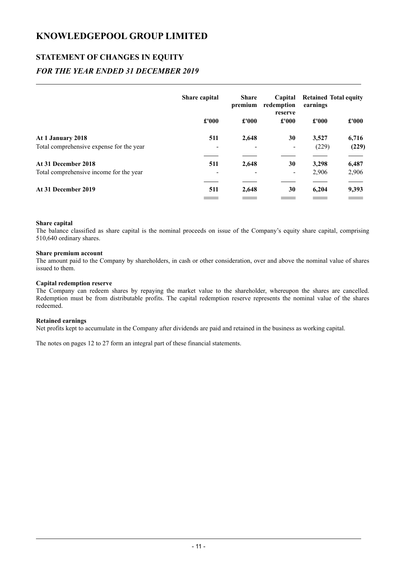# **STATEMENT OF CHANGES IN EQUITY**

### *FOR THE YEAR ENDED 31 DECEMBER 2019*

|                                          | Share capital | <b>Share</b><br>premium | Capital<br>redemption    | earnings | <b>Retained Total equity</b> |
|------------------------------------------|---------------|-------------------------|--------------------------|----------|------------------------------|
|                                          | £'000         | £'000                   | reserve<br>£'000         | £'000    | £'000                        |
| At 1 January 2018                        | 511           | 2,648                   | 30                       | 3,527    | 6,716                        |
| Total comprehensive expense for the year |               |                         |                          | (229)    | (229)                        |
| At 31 December 2018                      | 511           | 2,648                   | 30                       | 3,298    | 6,487                        |
| Total comprehensive income for the year  |               |                         | $\overline{\phantom{a}}$ | 2,906    | 2,906                        |
| At 31 December 2019                      | 511           | 2,648                   | 30                       | 6,204    | 9,393                        |
|                                          |               |                         |                          |          |                              |

#### **Share capital**

The balance classified as share capital is the nominal proceeds on issue of the Company's equity share capital, comprising 510,640 ordinary shares.

#### **Share premium account**

The amount paid to the Company by shareholders, in cash or other consideration, over and above the nominal value of shares issued to them.

#### **Capital redemption reserve**

The Company can redeem shares by repaying the market value to the shareholder, whereupon the shares are cancelled. Redemption must be from distributable profits. The capital redemption reserve represents the nominal value of the shares redeemed.

#### **Retained earnings**

Net profits kept to accumulate in the Company after dividends are paid and retained in the business as working capital.

The notes on pages 12 to 27 form an integral part of these financial statements.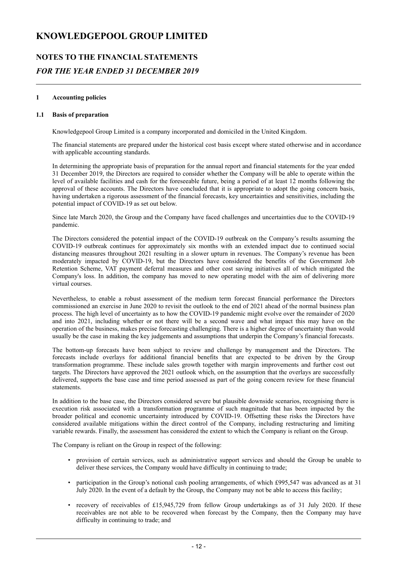# **NOTES TO THE FINANCIAL STATEMENTS** *FOR THE YEAR ENDED 31 DECEMBER 2019*

#### **1 Accounting policies**

#### **1.1 Basis of preparation**

Knowledgepool Group Limited is a company incorporated and domiciled in the United Kingdom.

The financial statements are prepared under the historical cost basis except where stated otherwise and in accordance with applicable accounting standards.

In determining the appropriate basis of preparation for the annual report and financial statements for the year ended 31 December 2019, the Directors are required to consider whether the Company will be able to operate within the level of available facilities and cash for the foreseeable future, being a period of at least 12 months following the approval of these accounts. The Directors have concluded that it is appropriate to adopt the going concern basis, having undertaken a rigorous assessment of the financial forecasts, key uncertainties and sensitivities, including the potential impact of COVID-19 as set out below.

Since late March 2020, the Group and the Company have faced challenges and uncertainties due to the COVID-19 pandemic.

The Directors considered the potential impact of the COVID-19 outbreak on the Company's results assuming the COVID-19 outbreak continues for approximately six months with an extended impact due to continued social distancing measures throughout 2021 resulting in a slower upturn in revenues. The Company's revenue has been moderately impacted by COVID-19, but the Directors have considered the benefits of the Government Job Retention Scheme, VAT payment deferral measures and other cost saving initiatives all of which mitigated the Company's loss. In addition, the company has moved to new operating model with the aim of delivering more virtual courses.

Nevertheless, to enable a robust assessment of the medium term forecast financial performance the Directors commissioned an exercise in June 2020 to revisit the outlook to the end of 2021 ahead of the normal business plan process. The high level of uncertainty as to how the COVID-19 pandemic might evolve over the remainder of 2020 and into 2021, including whether or not there will be a second wave and what impact this may have on the operation of the business, makes precise forecasting challenging. There is a higher degree of uncertainty than would usually be the case in making the key judgements and assumptions that underpin the Company's financial forecasts.

The bottom-up forecasts have been subject to review and challenge by management and the Directors. The forecasts include overlays for additional financial benefits that are expected to be driven by the Group transformation programme. These include sales growth together with margin improvements and further cost out targets. The Directors have approved the 2021 outlook which, on the assumption that the overlays are successfully delivered, supports the base case and time period assessed as part of the going concern review for these financial statements.

In addition to the base case, the Directors considered severe but plausible downside scenarios, recognising there is execution risk associated with a transformation programme of such magnitude that has been impacted by the broader political and economic uncertainty introduced by COVID-19. Offsetting these risks the Directors have considered available mitigations within the direct control of the Company, including restructuring and limiting variable rewards. Finally, the assessment has considered the extent to which the Company is reliant on the Group.

The Company is reliant on the Group in respect of the following:

- provision of certain services, such as administrative support services and should the Group be unable to deliver these services, the Company would have difficulty in continuing to trade;
- participation in the Group's notional cash pooling arrangements, of which £995,547 was advanced as at 31 July 2020. In the event of a default by the Group, the Company may not be able to access this facility;
- recovery of receivables of £15,945,729 from fellow Group undertakings as of 31 July 2020. If these receivables are not able to be recovered when forecast by the Company, then the Company may have difficulty in continuing to trade; and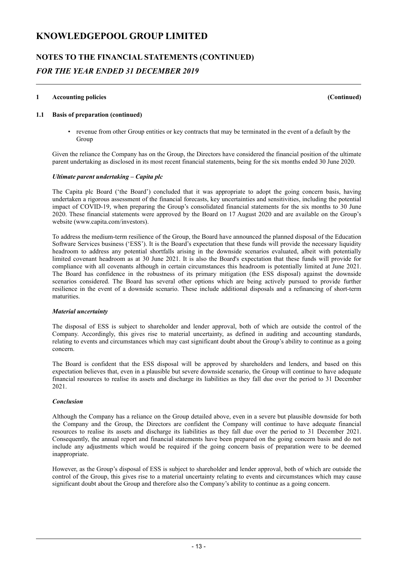# **NOTES TO THE FINANCIAL STATEMENTS (CONTINUED)** *FOR THE YEAR ENDED 31 DECEMBER 2019*

#### **1 Accounting policies (Continued)**

#### **1.1 Basis of preparation (continued)**

• revenue from other Group entities or key contracts that may be terminated in the event of a default by the Group

Given the reliance the Company has on the Group, the Directors have considered the financial position of the ultimate parent undertaking as disclosed in its most recent financial statements, being for the six months ended 30 June 2020.

#### *Ultimate parent undertaking – Capita plc*

The Capita plc Board ('the Board') concluded that it was appropriate to adopt the going concern basis, having undertaken a rigorous assessment of the financial forecasts, key uncertainties and sensitivities, including the potential impact of COVID-19, when preparing the Group's consolidated financial statements for the six months to 30 June 2020. These financial statements were approved by the Board on 17 August 2020 and are available on the Group's website (www.capita.com/investors).

To address the medium-term resilience of the Group, the Board have announced the planned disposal of the Education Software Services business ('ESS'). It is the Board's expectation that these funds will provide the necessary liquidity headroom to address any potential shortfalls arising in the downside scenarios evaluated, albeit with potentially limited covenant headroom as at 30 June 2021. It is also the Board's expectation that these funds will provide for compliance with all covenants although in certain circumstances this headroom is potentially limited at June 2021. The Board has confidence in the robustness of its primary mitigation (the ESS disposal) against the downside scenarios considered. The Board has several other options which are being actively pursued to provide further resilience in the event of a downside scenario. These include additional disposals and a refinancing of short-term maturities.

#### *Material uncertainty*

The disposal of ESS is subject to shareholder and lender approval, both of which are outside the control of the Company. Accordingly, this gives rise to material uncertainty, as defined in auditing and accounting standards, relating to events and circumstances which may cast significant doubt about the Group's ability to continue as a going concern.

The Board is confident that the ESS disposal will be approved by shareholders and lenders, and based on this expectation believes that, even in a plausible but severe downside scenario, the Group will continue to have adequate financial resources to realise its assets and discharge its liabilities as they fall due over the period to 31 December 2021.

#### *Conclusion*

Although the Company has a reliance on the Group detailed above, even in a severe but plausible downside for both the Company and the Group, the Directors are confident the Company will continue to have adequate financial resources to realise its assets and discharge its liabilities as they fall due over the period to 31 December 2021. Consequently, the annual report and financial statements have been prepared on the going concern basis and do not include any adjustments which would be required if the going concern basis of preparation were to be deemed inappropriate.

However, as the Group's disposal of ESS is subject to shareholder and lender approval, both of which are outside the control of the Group, this gives rise to a material uncertainty relating to events and circumstances which may cause significant doubt about the Group and therefore also the Company's ability to continue as a going concern.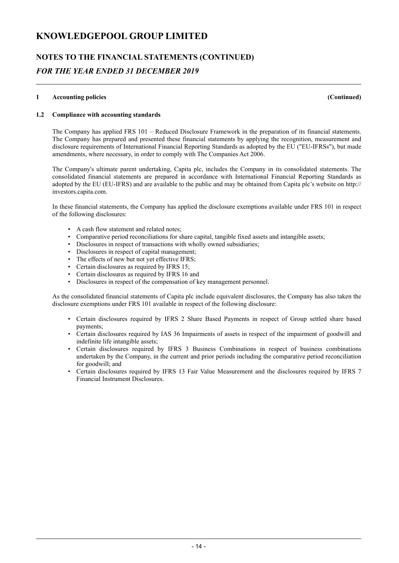## **NOTES TO THE FINANCIAL STATEMENTS (CONTINUED)** *FOR THE YEAR ENDED 31 DECEMBER 2019*

#### **1 Accounting policies (Continued)**

#### **1.2 Compliance with accounting standards**

The Company has applied FRS 101 – Reduced Disclosure Framework in the preparation of its financial statements. The Company has prepared and presented these financial statements by applying the recognition, measurement and disclosure requirements of International Financial Reporting Standards as adopted by the EU ("EU-IFRSs"), but made amendments, where necessary, in order to comply with The Companies Act 2006.

The Company's ultimate parent undertaking, Capita plc, includes the Company in its consolidated statements. The consolidated financial statements are prepared in accordance with International Financial Reporting Standards as adopted by the EU (EU-IFRS) and are available to the public and may be obtained from Capita plc's website on http:// investors.capita.com.

In these financial statements, the Company has applied the disclosure exemptions available under FRS 101 in respect of the following disclosures:

- A cash flow statement and related notes;<br>• Comparative period reconciliations for s
- Comparative period reconciliations for share capital, tangible fixed assets and intangible assets;
- Disclosures in respect of transactions with wholly owned subsidiaries;
- Disclosures in respect of capital management;
- The effects of new but not yet effective IFRS;<br>• Certain disclosures as required by IFRS 15:
- Certain disclosures as required by IFRS 15;
- Certain disclosures as required by IFRS 16 and<br>• Disclosures in respect of the compensation of k
- Disclosures in respect of the compensation of key management personnel.

As the consolidated financial statements of Capita plc include equivalent disclosures, the Company has also taken the disclosure exemptions under FRS 101 available in respect of the following disclosure:

- Certain disclosures required by IFRS 2 Share Based Payments in respect of Group settled share based payments;
- Certain disclosures required by IAS 36 Impairments of assets in respect of the impairment of goodwill and indefinite life intangible assets;
- Certain disclosures required by IFRS 3 Business Combinations in respect of business combinations undertaken by the Company, in the current and prior periods including the comparative period reconciliation for goodwill; and
- Certain disclosures required by IFRS 13 Fair Value Measurement and the disclosures required by IFRS 7 Financial Instrument Disclosures.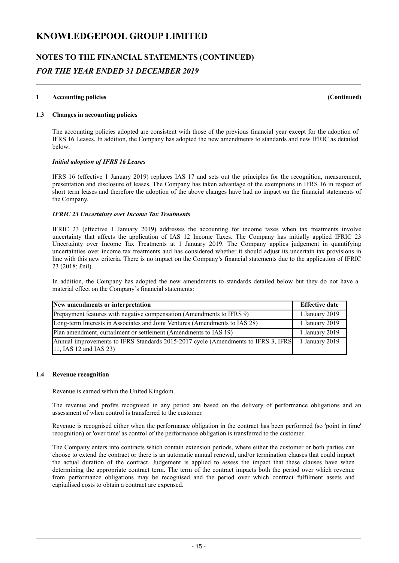# **NOTES TO THE FINANCIAL STATEMENTS (CONTINUED)** *FOR THE YEAR ENDED 31 DECEMBER 2019*

#### **1 Accounting policies (Continued)**

#### **1.3 Changes in accounting policies**

The accounting policies adopted are consistent with those of the previous financial year except for the adoption of IFRS 16 Leases. In addition, the Company has adopted the new amendments to standards and new IFRIC as detailed below:

#### *Initial adoption of IFRS 16 Leases*

IFRS 16 (effective 1 January 2019) replaces IAS 17 and sets out the principles for the recognition, measurement, presentation and disclosure of leases. The Company has taken advantage of the exemptions in IFRS 16 in respect of short term leases and therefore the adoption of the above changes have had no impact on the financial statements of the Company.

#### *IFRIC 23 Uncertainty over Income Tax Treatments*

IFRIC 23 (effective 1 January 2019) addresses the accounting for income taxes when tax treatments involve uncertainty that affects the application of IAS 12 Income Taxes. The Company has initially applied IFRIC 23 Uncertainty over Income Tax Treatments at 1 January 2019. The Company applies judgement in quantifying uncertainties over income tax treatments and has considered whether it should adjust its uncertain tax provisions in line with this new criteria. There is no impact on the Company's financial statements due to the application of IFRIC 23 (2018: £nil).

In addition, the Company has adopted the new amendments to standards detailed below but they do not have a material effect on the Company's financial statements:

| New amendments or interpretation                                                                              | <b>Effective date</b> |
|---------------------------------------------------------------------------------------------------------------|-----------------------|
| Prepayment features with negative compensation (Amendments to IFRS 9)                                         | 1 January 2019        |
| Long-term Interests in Associates and Joint Ventures (Amendments to IAS 28)                                   | 1 January 2019        |
| Plan amendment, curtailment or settlement (Amendments to IAS 19)                                              | 1 January 2019        |
| Annual improvements to IFRS Standards 2015-2017 cycle (Amendments to IFRS 3, IFRS)<br>[11, IAS 12 and IAS 23] | 1 January 2019        |

#### **1.4 Revenue recognition**

Revenue is earned within the United Kingdom.

The revenue and profits recognised in any period are based on the delivery of performance obligations and an assessment of when control is transferred to the customer.

Revenue is recognised either when the performance obligation in the contract has been performed (so 'point in time' recognition) or 'over time' as control of the performance obligation is transferred to the customer.

The Company enters into contracts which contain extension periods, where either the customer or both parties can choose to extend the contract or there is an automatic annual renewal, and/or termination clauses that could impact the actual duration of the contract. Judgement is applied to assess the impact that these clauses have when determining the appropriate contract term. The term of the contract impacts both the period over which revenue from performance obligations may be recognised and the period over which contract fulfilment assets and capitalised costs to obtain a contract are expensed.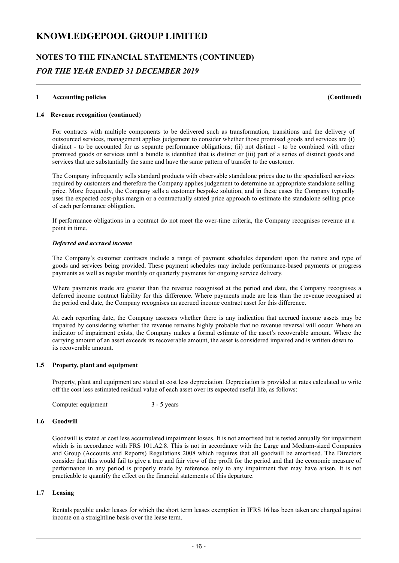## **NOTES TO THE FINANCIAL STATEMENTS (CONTINUED)** *FOR THE YEAR ENDED 31 DECEMBER 2019*

#### **1 Accounting policies (Continued)**

#### **1.4 Revenue recognition (continued)**

For contracts with multiple components to be delivered such as transformation, transitions and the delivery of outsourced services, management applies judgement to consider whether those promised goods and services are (i) distinct - to be accounted for as separate performance obligations; (ii) not distinct - to be combined with other promised goods or services until a bundle is identified that is distinct or (iii) part of a series of distinct goods and services that are substantially the same and have the same pattern of transfer to the customer.

The Company infrequently sells standard products with observable standalone prices due to the specialised services required by customers and therefore the Company applies judgement to determine an appropriate standalone selling price. More frequently, the Company sells a customer bespoke solution, and in these cases the Company typically uses the expected cost-plus margin or a contractually stated price approach to estimate the standalone selling price of each performance obligation.

If performance obligations in a contract do not meet the over-time criteria, the Company recognises revenue at a point in time.

#### *Deferred and accrued income*

The Company's customer contracts include a range of payment schedules dependent upon the nature and type of goods and services being provided. These payment schedules may include performance-based payments or progress payments as well as regular monthly or quarterly payments for ongoing service delivery.

Where payments made are greater than the revenue recognised at the period end date, the Company recognises a deferred income contract liability for this difference. Where payments made are less than the revenue recognised at the period end date, the Company recognises an accrued income contract asset for this difference.

At each reporting date, the Company assesses whether there is any indication that accrued income assets may be impaired by considering whether the revenue remains highly probable that no revenue reversal will occur. Where an indicator of impairment exists, the Company makes a formal estimate of the asset's recoverable amount. Where the carrying amount of an asset exceeds its recoverable amount, the asset is considered impaired and is written down to its recoverable amount.

#### **1.5 Property, plant and equipment**

Property, plant and equipment are stated at cost less depreciation. Depreciation is provided at rates calculated to write off the cost less estimated residual value of each asset over its expected useful life, as follows:

Computer equipment 3 - 5 years

#### **1.6 Goodwill**

Goodwill is stated at cost less accumulated impairment losses. It is not amortised but is tested annually for impairment which is in accordance with FRS 101.A2.8. This is not in accordance with the Large and Medium-sized Companies and Group (Accounts and Reports) Regulations 2008 which requires that all goodwill be amortised. The Directors consider that this would fail to give a true and fair view of the profit for the period and that the economic measure of performance in any period is properly made by reference only to any impairment that may have arisen. It is not practicable to quantify the effect on the financial statements of this departure.

#### **1.7 Leasing**

Rentals payable under leases for which the short term leases exemption in IFRS 16 has been taken are charged against income on a straightline basis over the lease term.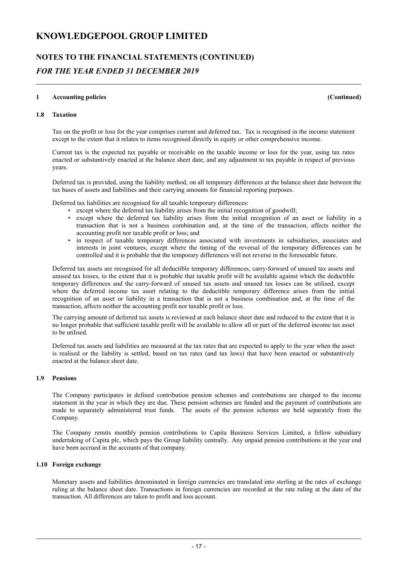# **NOTES TO THE FINANCIAL STATEMENTS (CONTINUED)** *FOR THE YEAR ENDED 31 DECEMBER 2019*

#### **1 Accounting policies (Continued)**

#### **1.8 Taxation**

Tax on the profit or loss for the year comprises current and deferred tax. Tax is recognised in the income statement except to the extent that it relates to items recognised directly in equity or other comprehensive income.

Current tax is the expected tax payable or receivable on the taxable income or loss for the year, using tax rates enacted or substantively enacted at the balance sheet date, and any adjustment to tax payable in respect of previous years.

Deferred tax is provided, using the liability method, on all temporary differences at the balance sheet date between the tax bases of assets and liabilities and their carrying amounts for financial reporting purposes.

Deferred tax liabilities are recognised for all taxable temporary differences:

- except where the deferred tax liability arises from the initial recognition of goodwill;
- except where the deferred tax liability arises from the initial recognition of an asset or liability in a transaction that is not a business combination and, at the time of the transaction, affects neither the accounting profit nor taxable profit or loss; and
- in respect of taxable temporary differences associated with investments in subsidiaries, associates and interests in joint ventures, except where the timing of the reversal of the temporary differences can be controlled and it is probable that the temporary differences will not reverse in the foreseeable future.

Deferred tax assets are recognised for all deductible temporary differences, carry-forward of unused tax assets and unused tax losses, to the extent that it is probable that taxable profit will be available against which the deductible temporary differences and the carry-forward of unused tax assets and unused tax losses can be utilised, except where the deferred income tax asset relating to the deductible temporary difference arises from the initial recognition of an asset or liability in a transaction that is not a business combination and, at the time of the transaction, affects neither the accounting profit nor taxable profit or loss.

The carrying amount of deferred tax assets is reviewed at each balance sheet date and reduced to the extent that it is no longer probable that sufficient taxable profit will be available to allow all or part of the deferred income tax asset to be utilised.

Deferred tax assets and liabilities are measured at the tax rates that are expected to apply to the year when the asset is realised or the liability is settled, based on tax rates (and tax laws) that have been enacted or substantively enacted at the balance sheet date.

#### **1.9 Pensions**

The Company participates in defined contribution pension schemes and contributions are charged to the income statement in the year in which they are due. These pension schemes are funded and the payment of contributions are made to separately administered trust funds. The assets of the pension schemes are held separately from the Company.

The Company remits monthly pension contributions to Capita Business Services Limited, a fellow subsidiary undertaking of Capita plc, which pays the Group liability centrally. Any unpaid pension contributions at the year end have been accrued in the accounts of that company.

#### **1.10 Foreign exchange**

Monetary assets and liabilities denominated in foreign currencies are translated into sterling at the rates of exchange ruling at the balance sheet date. Transactions in foreign currencies are recorded at the rate ruling at the date of the transaction. All differences are taken to profit and loss account.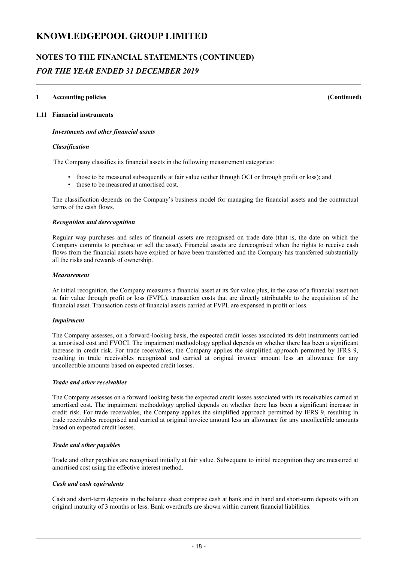# **NOTES TO THE FINANCIAL STATEMENTS (CONTINUED)** *FOR THE YEAR ENDED 31 DECEMBER 2019*

#### **1 Accounting policies (Continued)**

#### **1.11 Financial instruments**

#### *Investments and other financial assets*

#### *Classification*

The Company classifies its financial assets in the following measurement categories:

- those to be measured subsequently at fair value (either through OCI or through profit or loss); and
- those to be measured at amortised cost.

The classification depends on the Company's business model for managing the financial assets and the contractual terms of the cash flows.

#### *Recognition and derecognition*

Regular way purchases and sales of financial assets are recognised on trade date (that is, the date on which the Company commits to purchase or sell the asset). Financial assets are derecognised when the rights to receive cash flows from the financial assets have expired or have been transferred and the Company has transferred substantially all the risks and rewards of ownership.

#### *Measurement*

At initial recognition, the Company measures a financial asset at its fair value plus, in the case of a financial asset not at fair value through profit or loss (FVPL), transaction costs that are directly attributable to the acquisition of the financial asset. Transaction costs of financial assets carried at FVPL are expensed in profit or loss.

#### *Impairment*

The Company assesses, on a forward-looking basis, the expected credit losses associated its debt instruments carried at amortised cost and FVOCI. The impairment methodology applied depends on whether there has been a significant increase in credit risk. For trade receivables, the Company applies the simplified approach permitted by IFRS 9, resulting in trade receivables recognized and carried at original invoice amount less an allowance for any uncollectible amounts based on expected credit losses.

#### *Trade and other receivables*

The Company assesses on a forward looking basis the expected credit losses associated with its receivables carried at amortised cost. The impairment methodology applied depends on whether there has been a significant increase in credit risk. For trade receivables, the Company applies the simplified approach permitted by IFRS 9, resulting in trade receivables recognised and carried at original invoice amount less an allowance for any uncollectible amounts based on expected credit losses.

#### *Trade and other payables*

Trade and other payables are recognised initially at fair value. Subsequent to initial recognition they are measured at amortised cost using the effective interest method.

#### *Cash and cash equivalents*

Cash and short-term deposits in the balance sheet comprise cash at bank and in hand and short-term deposits with an original maturity of 3 months or less. Bank overdrafts are shown within current financial liabilities.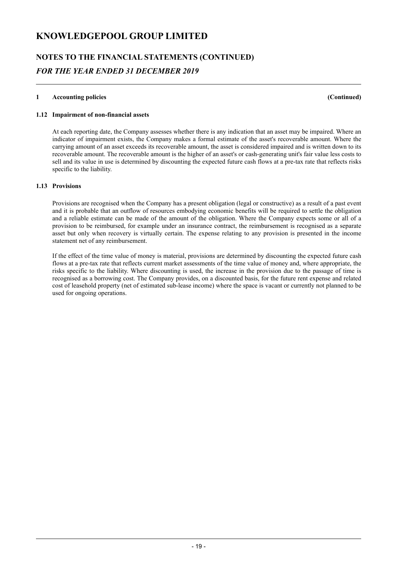## **NOTES TO THE FINANCIAL STATEMENTS (CONTINUED)** *FOR THE YEAR ENDED 31 DECEMBER 2019*

#### **1 Accounting policies (Continued)**

#### **1.12 Impairment of non-financial assets**

At each reporting date, the Company assesses whether there is any indication that an asset may be impaired. Where an indicator of impairment exists, the Company makes a formal estimate of the asset's recoverable amount. Where the carrying amount of an asset exceeds its recoverable amount, the asset is considered impaired and is written down to its recoverable amount. The recoverable amount is the higher of an asset's or cash-generating unit's fair value less costs to sell and its value in use is determined by discounting the expected future cash flows at a pre-tax rate that reflects risks specific to the liability.

#### **1.13 Provisions**

Provisions are recognised when the Company has a present obligation (legal or constructive) as a result of a past event and it is probable that an outflow of resources embodying economic benefits will be required to settle the obligation and a reliable estimate can be made of the amount of the obligation. Where the Company expects some or all of a provision to be reimbursed, for example under an insurance contract, the reimbursement is recognised as a separate asset but only when recovery is virtually certain. The expense relating to any provision is presented in the income statement net of any reimbursement.

If the effect of the time value of money is material, provisions are determined by discounting the expected future cash flows at a pre-tax rate that reflects current market assessments of the time value of money and, where appropriate, the risks specific to the liability. Where discounting is used, the increase in the provision due to the passage of time is recognised as a borrowing cost. The Company provides, on a discounted basis, for the future rent expense and related cost of leasehold property (net of estimated sub-lease income) where the space is vacant or currently not planned to be used for ongoing operations.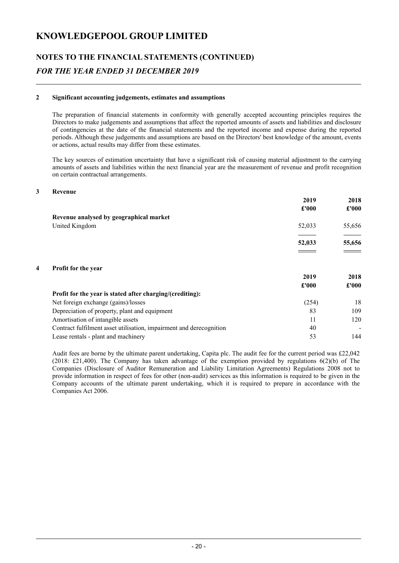## **NOTES TO THE FINANCIAL STATEMENTS (CONTINUED)** *FOR THE YEAR ENDED 31 DECEMBER 2019*

#### **2 Significant accounting judgements, estimates and assumptions**

The preparation of financial statements in conformity with generally accepted accounting principles requires the Directors to make judgements and assumptions that affect the reported amounts of assets and liabilities and disclosure of contingencies at the date of the financial statements and the reported income and expense during the reported periods. Although these judgements and assumptions are based on the Directors' best knowledge of the amount, events or actions, actual results may differ from these estimates.

The key sources of estimation uncertainty that have a significant risk of causing material adjustment to the carrying amounts of assets and liabilities within the next financial year are the measurement of revenue and profit recognition on certain contractual arrangements.

#### **3 Revenue**

|   |                                                                     | 2019   | 2018                     |
|---|---------------------------------------------------------------------|--------|--------------------------|
|   |                                                                     | £'000  | £'000                    |
|   | Revenue analysed by geographical market                             |        |                          |
|   | United Kingdom                                                      | 52,033 | 55,656                   |
|   |                                                                     |        |                          |
|   |                                                                     | 52,033 | 55,656                   |
|   |                                                                     |        |                          |
| 4 | <b>Profit for the year</b>                                          |        |                          |
|   |                                                                     | 2019   | 2018                     |
|   |                                                                     | £'000  | £'000                    |
|   | Profit for the year is stated after charging/(crediting):           |        |                          |
|   | Net foreign exchange (gains)/losses                                 | (254)  | 18                       |
|   | Depreciation of property, plant and equipment                       | 83     | 109                      |
|   | Amortisation of intangible assets                                   | 11     | 120                      |
|   | Contract fulfilment asset utilisation, impairment and derecognition | 40     | $\overline{\phantom{a}}$ |
|   | Lease rentals - plant and machinery                                 | 53     | 144                      |
|   |                                                                     |        |                          |

Audit fees are borne by the ultimate parent undertaking, Capita plc. The audit fee for the current period was £22,042 (2018: £21,400). The Company has taken advantage of the exemption provided by regulations 6(2)(b) of The Companies (Disclosure of Auditor Remuneration and Liability Limitation Agreements) Regulations 2008 not to provide information in respect of fees for other (non-audit) services as this information is required to be given in the Company accounts of the ultimate parent undertaking, which it is required to prepare in accordance with the Companies Act 2006.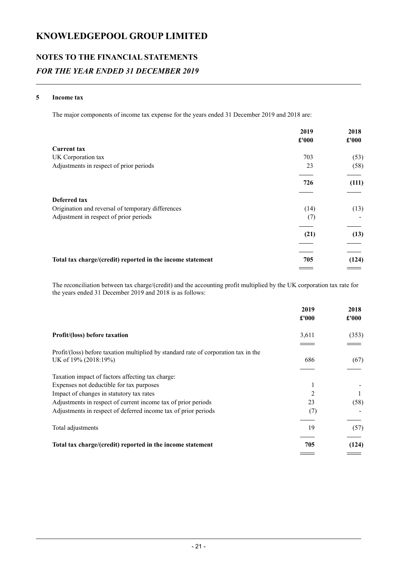## **NOTES TO THE FINANCIAL STATEMENTS** *FOR THE YEAR ENDED 31 DECEMBER 2019*

#### **5 Income tax**

The major components of income tax expense for the years ended 31 December 2019 and 2018 are:

|                                                            | 2019<br>£'000 | 2018<br>£'000 |
|------------------------------------------------------------|---------------|---------------|
| <b>Current tax</b>                                         |               |               |
| UK Corporation tax                                         | 703           | (53)          |
| Adjustments in respect of prior periods                    | 23            | (58)          |
|                                                            |               |               |
|                                                            | 726           | (111)         |
|                                                            |               |               |
| Deferred tax                                               |               |               |
| Origination and reversal of temporary differences          | (14)          | (13)          |
| Adjustment in respect of prior periods                     | (7)           |               |
|                                                            | (21)          | (13)          |
|                                                            |               |               |
|                                                            |               |               |
| Total tax charge/(credit) reported in the income statement | 705           | (124)         |

The reconciliation between tax charge/(credit) and the accounting profit multiplied by the UK corporation tax rate for the years ended 31 December 2019 and 2018 is as follows:

|                                                                                                             | 2019<br>£'000 | 2018<br>£'000 |
|-------------------------------------------------------------------------------------------------------------|---------------|---------------|
| Profit/(loss) before taxation                                                                               | 3,611         | (353)         |
| Profit/(loss) before taxation multiplied by standard rate of corporation tax in the<br>UK of 19% (2018:19%) | 686           | (67)          |
| Taxation impact of factors affecting tax charge:                                                            |               |               |
| Expenses not deductible for tax purposes                                                                    |               |               |
| Impact of changes in statutory tax rates                                                                    | 2             |               |
| Adjustments in respect of current income tax of prior periods                                               | 23            | (58)          |
| Adjustments in respect of deferred income tax of prior periods                                              | (7)           |               |
| Total adjustments                                                                                           | 19            | (57)          |
| Total tax charge/(credit) reported in the income statement                                                  | 705           | (124)         |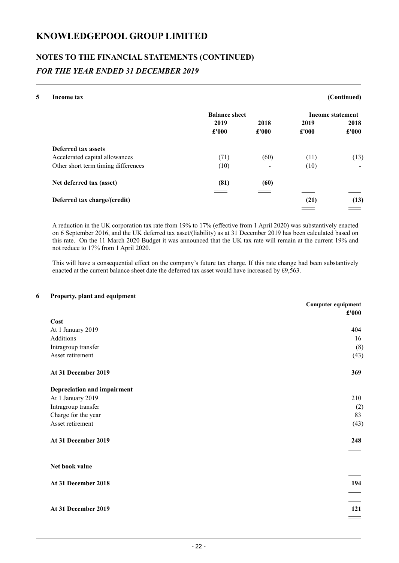## **NOTES TO THE FINANCIAL STATEMENTS (CONTINUED)** *FOR THE YEAR ENDED 31 DECEMBER 2019*

| <b>Income tax</b>                   |                      |                          |       | (Continued)              |
|-------------------------------------|----------------------|--------------------------|-------|--------------------------|
|                                     | <b>Balance sheet</b> |                          |       | <b>Income statement</b>  |
|                                     | 2019                 | 2018                     | 2019  | 2018                     |
|                                     | £'000                | £'000                    | £'000 | £'000                    |
| Deferred tax assets                 |                      |                          |       |                          |
| Accelerated capital allowances      | (71)                 | (60)                     | (11)  | (13)                     |
| Other short term timing differences | (10)                 | $\overline{\phantom{a}}$ | (10)  | $\overline{\phantom{a}}$ |
|                                     |                      |                          |       |                          |
| Net deferred tax (asset)            | (81)                 | (60)                     |       |                          |
| Deferred tax charge/(credit)        |                      |                          | (21)  | (13)                     |
|                                     |                      |                          |       |                          |

A reduction in the UK corporation tax rate from 19% to 17% (effective from 1 April 2020) was substantively enacted on 6 September 2016, and the UK deferred tax asset/(liability) as at 31 December 2019 has been calculated based on this rate. On the 11 March 2020 Budget it was announced that the UK tax rate will remain at the current 19% and not reduce to 17% from 1 April 2020.

This will have a consequential effect on the company's future tax charge. If this rate change had been substantively enacted at the current balance sheet date the deferred tax asset would have increased by £9,563.

#### **6 Property, plant and equipment**

|                             | Computer equipment<br>$\pounds 000$ |
|-----------------------------|-------------------------------------|
| Cost                        |                                     |
| At 1 January 2019           | 404                                 |
| Additions                   | 16                                  |
| Intragroup transfer         | (8)                                 |
| Asset retirement            | (43)                                |
| At 31 December 2019         | 369                                 |
| Depreciation and impairment |                                     |
| At 1 January 2019           | 210                                 |
| Intragroup transfer         | (2)                                 |
| Charge for the year         | 83                                  |
| Asset retirement            | (43)                                |
| At 31 December 2019         | 248                                 |
| Net book value              |                                     |
| At 31 December 2018         | 194                                 |
|                             |                                     |
| At 31 December 2019         | 121                                 |
|                             |                                     |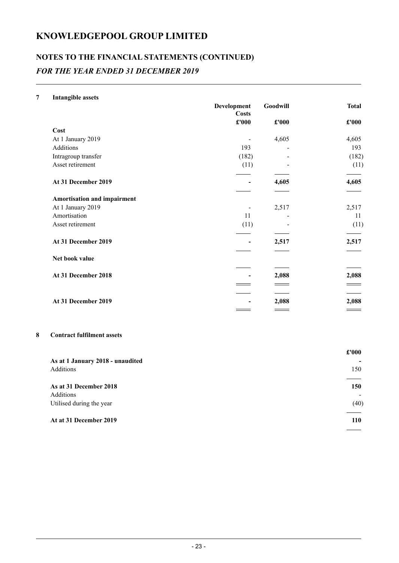# **NOTES TO THE FINANCIAL STATEMENTS (CONTINUED)** *FOR THE YEAR ENDED 31 DECEMBER 2019*

#### **7 Intangible assets**

|                             | Development<br><b>Costs</b> | Goodwill | <b>Total</b> |
|-----------------------------|-----------------------------|----------|--------------|
|                             | £'000                       | £'000    | £'000        |
| Cost                        |                             |          |              |
| At 1 January 2019           |                             | 4,605    | 4,605        |
| Additions                   | 193                         |          | 193          |
| Intragroup transfer         | (182)                       |          | (182)        |
| Asset retirement            | (11)                        |          | (11)         |
| At 31 December 2019         |                             | 4,605    | 4,605        |
|                             |                             |          |              |
| Amortisation and impairment |                             |          |              |
| At 1 January 2019           |                             | 2,517    | 2,517        |
| Amortisation                | 11                          |          | 11           |
| Asset retirement            | (11)                        |          | (11)         |
| At 31 December 2019         |                             | 2,517    | 2,517        |
| Net book value              |                             |          |              |
|                             |                             |          |              |
| At 31 December 2018         |                             | 2,088    | 2,088        |
|                             |                             |          |              |
|                             |                             |          |              |
| At 31 December 2019         |                             | 2,088    | 2,088        |
|                             |                             |          |              |

#### **8 Contract fulfilment assets**

|                                  | $\pounds 000$ |
|----------------------------------|---------------|
| As at 1 January 2018 - unaudited |               |
| Additions                        | 150           |
|                                  |               |
| As at 31 December 2018           | 150           |
| Additions                        |               |
| Utilised during the year         | (40)          |
| At at 31 December 2019           | <b>110</b>    |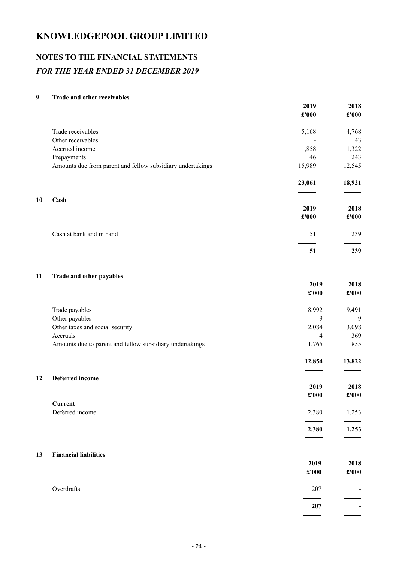## **NOTES TO THE FINANCIAL STATEMENTS** *FOR THE YEAR ENDED 31 DECEMBER 2019*

#### **9 Trade and other receivables**

|    |                                                            | 2019           | 2018                 |
|----|------------------------------------------------------------|----------------|----------------------|
|    |                                                            | $\pounds 000$  | $\pmb{\pounds}$ '000 |
|    | Trade receivables                                          | 5,168          | 4,768                |
|    | Other receivables                                          |                | 43                   |
|    | Accrued income                                             | 1,858          | 1,322                |
|    | Prepayments                                                | 46             | 243                  |
|    | Amounts due from parent and fellow subsidiary undertakings | 15,989         | 12,545               |
|    |                                                            | 23,061         | 18,921               |
| 10 | Cash                                                       |                |                      |
|    |                                                            | 2019           | 2018                 |
|    |                                                            | $\pounds 000$  | $\pounds$ '000       |
|    | Cash at bank and in hand                                   | 51             | 239                  |
|    |                                                            | 51             | 239                  |
|    |                                                            |                |                      |
| 11 | Trade and other payables                                   | 2019           | 2018                 |
|    |                                                            | $\pounds 000$  | $\pounds$ '000       |
|    | Trade payables                                             | 8,992          | 9,491                |
|    | Other payables                                             | 9              | $\overline{9}$       |
|    | Other taxes and social security                            | 2,084          | 3,098                |
|    | Accruals                                                   | $\overline{4}$ | 369                  |
|    | Amounts due to parent and fellow subsidiary undertakings   | 1,765          | 855                  |
|    |                                                            | 12,854         | 13,822<br>-          |
| 12 | <b>Deferred</b> income                                     |                |                      |
|    |                                                            | 2019           | 2018                 |
|    |                                                            | $\pounds 000$  | $\pounds$ '000       |
|    | Current<br>Deferred income                                 |                |                      |
|    |                                                            | 2,380          | 1,253                |
|    |                                                            | 2,380          | 1,253                |
| 13 | <b>Financial liabilities</b>                               |                |                      |
|    |                                                            | 2019           | 2018                 |
|    |                                                            | $\pounds$ '000 | $\pounds$ '000       |
|    | Overdrafts                                                 | 207            |                      |
|    |                                                            | 207            | ۰                    |

 $\equiv$ 

÷.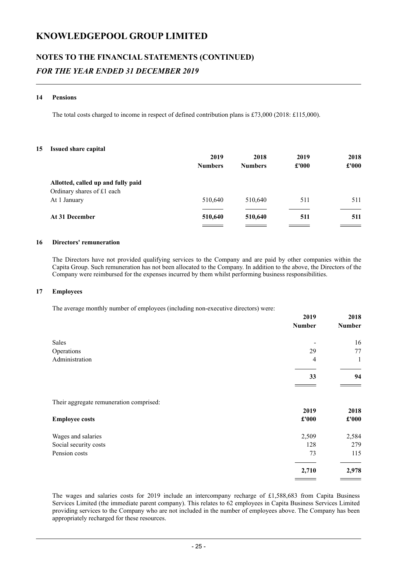## **NOTES TO THE FINANCIAL STATEMENTS (CONTINUED)** *FOR THE YEAR ENDED 31 DECEMBER 2019*

#### **14 Pensions**

The total costs charged to income in respect of defined contribution plans is £73,000 (2018: £115,000).

#### **15 Issued share capital**

|                                    | 2019           | 2018           | 2019  | 2018  |
|------------------------------------|----------------|----------------|-------|-------|
|                                    | <b>Numbers</b> | <b>Numbers</b> | £'000 | £'000 |
| Allotted, called up and fully paid |                |                |       |       |
| Ordinary shares of £1 each         |                |                |       |       |
| At 1 January                       | 510,640        | 510,640        | 511   | 511   |
| At 31 December                     | 510,640        | 510,640        | 511   | 511   |
|                                    |                |                |       |       |

#### **16 Directors' remuneration**

The Directors have not provided qualifying services to the Company and are paid by other companies within the Capita Group. Such remuneration has not been allocated to the Company. In addition to the above, the Directors of the Company were reimbursed for the expenses incurred by them whilst performing business responsibilities.

#### **17 Employees**

The average monthly number of employees (including non-executive directors) were:

|                                         | 2019<br><b>Number</b> | 2018<br><b>Number</b> |
|-----------------------------------------|-----------------------|-----------------------|
| Sales                                   |                       | 16                    |
| Operations                              | 29                    | 77                    |
| Administration                          | 4                     | 1                     |
|                                         | 33                    | 94                    |
| Their aggregate remuneration comprised: |                       |                       |
| <b>Employee costs</b>                   | 2019<br>£'000         | 2018<br>£'000         |
| Wages and salaries                      | 2,509                 | 2,584                 |
| Social security costs                   | 128                   | 279                   |
| Pension costs                           | 73                    | 115                   |
|                                         | 2,710                 | 2,978                 |

The wages and salaries costs for 2019 include an intercompany recharge of £1,588,683 from Capita Business Services Limited (the immediate parent company). This relates to 62 employees in Capita Business Services Limited providing services to the Company who are not included in the number of employees above. The Company has been appropriately recharged for these resources.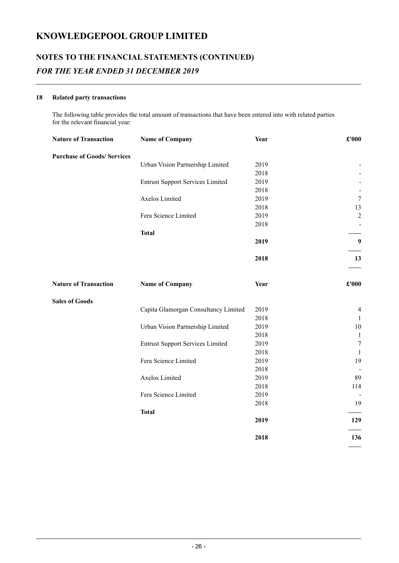# **NOTES TO THE FINANCIAL STATEMENTS (CONTINUED)** *FOR THE YEAR ENDED 31 DECEMBER 2019*

#### **18 Related party transactions**

The following table provides the total amount of transactions that have been entered into with related parties for the relevant financial year:

| <b>Nature of Transaction</b>       | <b>Name of Company</b>                  | Year | £'000            |
|------------------------------------|-----------------------------------------|------|------------------|
| <b>Purchase of Goods/ Services</b> |                                         |      |                  |
|                                    | Urban Vision Partnership Limited        | 2019 |                  |
|                                    |                                         | 2018 |                  |
|                                    | <b>Entrust Support Services Limited</b> | 2019 |                  |
|                                    |                                         | 2018 |                  |
|                                    | Axelos Limited                          | 2019 | 7                |
|                                    |                                         | 2018 | 13               |
|                                    | Fera Science Limited                    | 2019 | $\overline{c}$   |
|                                    |                                         | 2018 |                  |
|                                    | <b>Total</b>                            |      |                  |
|                                    |                                         | 2019 | 9                |
|                                    |                                         | 2018 | 13               |
| <b>Nature of Transaction</b>       | <b>Name of Company</b>                  | Year | £'000            |
| <b>Sales of Goods</b>              |                                         |      |                  |
|                                    | Capita Glamorgan Consultancy Limited    | 2019 | $\overline{4}$   |
|                                    |                                         | 2018 | 1                |
|                                    | Urban Vision Partnership Limited        | 2019 | 10               |
|                                    |                                         | 2018 | $\mathbf{1}$     |
|                                    | <b>Entrust Support Services Limited</b> | 2019 | $\boldsymbol{7}$ |
|                                    |                                         | 2018 | 1                |
|                                    | Fera Science Limited                    | 2019 | 19               |
|                                    |                                         | 2018 |                  |
|                                    | Axelos Limited                          | 2019 | 89               |
|                                    |                                         | 2018 | 114              |
|                                    | Fera Science Limited                    | 2019 |                  |
|                                    |                                         | 2018 | 19               |
|                                    | <b>Total</b>                            |      |                  |
|                                    |                                         | 2019 | 129              |
|                                    |                                         | 2018 | 136              |